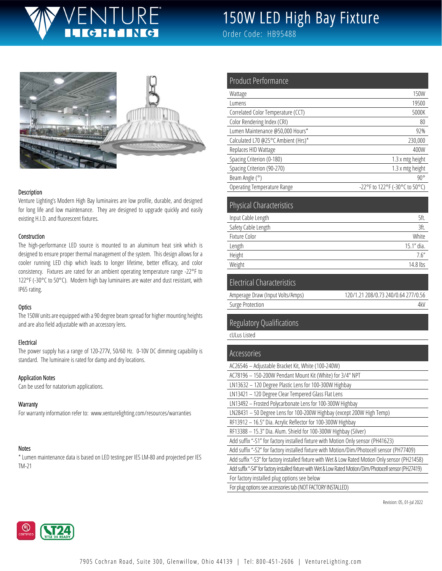## JRF® **CHING**

## 150W LED High Bay Fixture

Order Code: HB95488



#### Description

Venture Lighting's Modern High Bay luminaires are low profile, durable, and designed for long life and low maintenance. They are designed to upgrade quickly and easily existing H.I.D. and fluorescent fixtures.

#### Construction

The high-performance LED source is mounted to an aluminum heat sink which is designed to ensure proper thermal management of the system. This design allows for a cooler running LED chip which leads to longer lifetime, better efficacy, and color consistency. Fixtures are rated for an ambient operating temperature range -22°F to 122°F (-30°C to 50°C). Modern high bay luminaires are water and dust resistant, with IP65 rating.

#### **Optics**

The 150W units are equipped with a 90 degree beam spread for higher mounting heights and are also field adjustable with an accessory lens.

#### Electrical

The power supply has a range of 120-277V, 50/60 Hz. 0-10V DC dimming capability is standard. The luminaire is rated for damp and dry locations.

#### Application Notes

Can be used for natatorium applications.

#### **Warranty**

For warranty information refer to: www.venturelighting.com/resources/warranties

#### Notes

\* Lumen maintenance data is based on LED testing per IES LM-80 and projected per IES TM-21

| <b>Product Performance</b>          |                                |
|-------------------------------------|--------------------------------|
| Wattage                             | 150W                           |
| Lumens                              | 19500                          |
| Correlated Color Temperature (CCT)  | 5000K                          |
| Color Rendering Index (CRI)         | 80                             |
| Lumen Maintenance @50,000 Hours*    | 92%                            |
| Calculated L70 @25°C Ambient (Hrs)* | 230,000                        |
| Replaces HID Wattage                | 400W                           |
| Spacing Criterion (0-180)           | 1.3 x mtg height               |
| Spacing Criterion (90-270)          | 1.3 x mtg height               |
| Beam Angle (°)                      | $90^{\circ}$                   |
| <b>Operating Temperature Range</b>  | -22°F to 122°F (-30°C to 50°C) |
|                                     |                                |

| <b>Physical Characteristics</b> |            |
|---------------------------------|------------|
| Input Cable Length              | 5ft.       |
| Safety Cable Length             | 3ft.       |
| Fixture Color                   | White      |
| Length                          | 15.1" dia. |
| Height                          | 7.6''      |
| Weight                          | 14.8 lbs   |
|                                 |            |

| Electrical Characteristics       |                                     |
|----------------------------------|-------------------------------------|
| Amperage Draw (Input Volts/Amps) | 120/1.21 208/0.73 240/0.64 277/0.56 |
| Surge Protection                 | 4kV                                 |

### Regulatory Qualifications

cULus Listed

| Accessories                                                                                               |
|-----------------------------------------------------------------------------------------------------------|
| AC26546 - Adjustable Bracket Kit, White (100-240W)                                                        |
| AC78196 - 150-200W Pendant Mount Kit (White) for 3/4" NPT                                                 |
| LN13632 - 120 Degree Plastic Lens for 100-300W Highbay                                                    |
| LN13421 - 120 Degree Clear Tempered Glass Flat Lens                                                       |
| LN13492 - Frosted Polycarbonate Lens for 100-300W Highbay                                                 |
| LN28431 - 50 Degree Lens for 100-200W Highbay (except 200W High Temp)                                     |
| RF13912 - 16.5" Dia. Acrylic Reflector for 100-300W Highbay                                               |
| RF13388 - 15.3" Dia. Alum. Shield for 100-300W Highbay (Silver)                                           |
| Add suffix "-S1" for factory installed fixture with Motion Only sensor (PH41623)                          |
| Add suffix "-S2" for factory installed fixture with Motion/Dim/Photocell sensor (PH77409)                 |
| Add suffix "-S3" for factory installed fixture with Wet & Low Rated Motion Only sensor (PH21458)          |
| Add suffix "-S4" for factory installed fixture with Wet & Low Rated Motion/Dim/Photocell sensor (PH27419) |
| For factory installed plug options see below                                                              |
| For plug options see accessories tab (NOT FACTORY INSTALLED)                                              |

Revision: 05, 01-Jul 2022